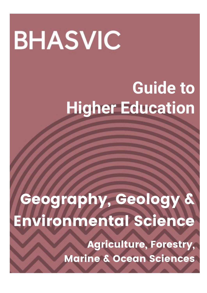# **BHASVIC**

# **Guide to Higher Education**

# Geography, Geology & Environmental Science

Agriculture, Forestry, Marine & Ocean Sciences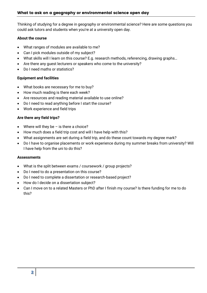Thinking of studying for a degree in geography or environmental science? Here are some questions you could ask tutors and students when you're at a university open day.

#### **About the course**

- What ranges of modules are available to me?
- Can I pick modules outside of my subject?
- What skills will I learn on this course? E.g. research methods, referencing, drawing graphs…
- Are there any guest lecturers or speakers who come to the university?
- Do I need maths or statistics?

#### **Equipment and facilities**

- What books are necessary for me to buy?
- How much reading is there each week?
- Are resources and reading material available to use online?
- Do I need to read anything before I start the course?
- Work experience and field trips

#### **Are there any field trips?**

- Where will they be  $-$  is there a choice?
- How much does a field trip cost and will I have help with this?
- What assignments are set during a field trip, and do these count towards my degree mark?
- Do I have to organise placements or work experience during my summer breaks from university? Will I have help from the uni to do this?

#### **Assessments**

- What is the split between exams / coursework / group projects?
- Do I need to do a presentation on this course?
- Do I need to complete a dissertation or research-based project?
- How do I decide on a dissertation subject?
- Can I move on to a related Masters or PhD after I finish my course? Is there funding for me to do this?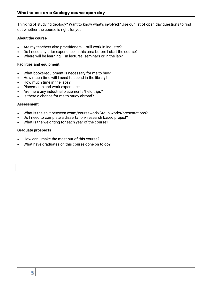[Thinking of studying geology? Want to know what's involved? Use our list of open day questions to find](https://university.which.co.uk/courses#panel-geography)  [out whether the course is right for you.](https://university.which.co.uk/courses#panel-geography)

#### **[About the course](https://university.which.co.uk/courses#panel-geography)**

- [Are my teachers also practitioners](https://university.which.co.uk/courses#panel-geography)  still work in industry?
- [Do I need any prior experience in this area before I start the course?](https://university.which.co.uk/courses#panel-geography)
- Where will be learning  $-$  [in lectures, seminars or in the lab?](https://university.which.co.uk/courses#panel-geography)

#### **[Facilities and equipment](https://university.which.co.uk/courses#panel-geography)**

- [What books/equipment is necessary for me to buy?](https://university.which.co.uk/courses#panel-geography)
- [How much time will I need to spend in the library?](https://university.which.co.uk/courses#panel-geography)
- [How much time in the labs?](https://university.which.co.uk/courses#panel-geography)
- [Placements and work experience](https://university.which.co.uk/courses#panel-geography)
- [Are there any industrial placements/field trips?](https://university.which.co.uk/courses#panel-geography)
- [Is there a chance for me to study abroad?](https://university.which.co.uk/courses#panel-geography)

#### **[Assessment](https://university.which.co.uk/courses#panel-geography)**

- [What is the split between exam/coursework/Group works/presentations?](https://university.which.co.uk/courses#panel-geography)
- [Do I need to complete a dissertation/ research based project?](https://university.which.co.uk/courses#panel-geography)
- [What is the weighting for each year of the course?](https://university.which.co.uk/courses#panel-geography)

#### **[Graduate prospects](https://university.which.co.uk/courses#panel-geography)**

- [How can I make the most out of this course?](https://university.which.co.uk/courses#panel-geography)
- [What have graduates on this course gone on to do?](https://university.which.co.uk/courses#panel-geography)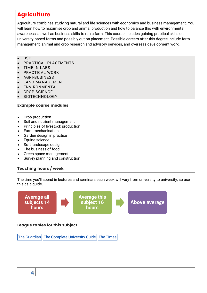# **Agriculture**

Agriculture combines studying natural and life sciences with economics and business management. You will learn how to maximise crop and animal production and how to balance this with environmental awareness, as well as business skills to run a farm. This course includes gaining practical skills on university-based farms and possibly out on placement. Possible careers after this degree include farm management, animal and crop research and advisory services, and overseas development work.

- $-BSC$
- PRACTICAL PLACEMENTS
- TIME IN LABS
- PRACTICAL WORK
- AGRI-BUSINESS
- LAND MANAGEMENT
- ENVIRONMENTAL
- CROP SCIENCE
- BIOTECHNOLOGY

#### Example course modules

- Crop production
- Soil and nutrient management
- Principles of livestock production
- Farm mechanisation
- Garden design in practice
- Equine science
- Soft landscape design
- The business of food
- Green space management
- Survey planning and construction

#### Teaching hours / week

The time you'll spend in lectures and seminars each week will vary from university to university, so use this as a guide.



#### League tables for this subject

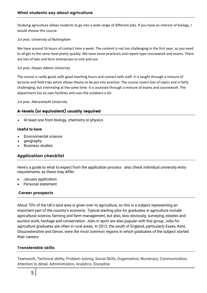Studying agriculture allows students to go into a wide range of different jobs. If you have an interest of biology, I would choose this course.

#### *1st year, University of Nottingham*

We have around 16 hours of contact time a week. The content is not too challenging in the first year, as you need to all get to the same level pretty quickly. We have some practicals and report-type coursework and exams. There are lots of labs and farm enterprises to visit and use.

#### *1st year, Harper Adams University*

The course is really good, with good teaching hours and contact with staff. It is taught through a mixture of lectures and field trips which allows theory to be put into practice. The course covers lots of topics and is fairly challenging, but interesting at the same time. It is assessed through a mixture of exams and coursework. The department has its own facilities and uses the outdoors a lot.

*1st year, Aberystwyth University*

#### A-levels (or equivalent) usually required

At least one from biology, chemistry or physics

#### **Useful to have**

- Environmental science
- geography
- Business studies

#### Application checklist

Here's a guide to what to expect from the application process - also check individual university entry requirements, as these may differ.

- January application
- Personal statement

#### Career prospects

About 70% of the UK's land area is given over to agriculture, so this is a subject representing an important part of the country's economy. Typical starting jobs for graduates in agriculture include agricultural science, farming and farm management, but also, less obviously, surveying, estates and auction work, heritage and conservation. Jobs in sport are also popular with this group. Jobs for agriculture graduates are often in rural areas. In 2012, the south of England, particularly Essex, Kent, Gloucestershire and Devon, were the most common regions in which graduates of the subject started their careers.

#### Transferable skills

Teamwork, Technical ability, Problem solving, Social Skills, Organisation, Numeracy, Communication, Attention to detail, Administration, Analytics, Discipline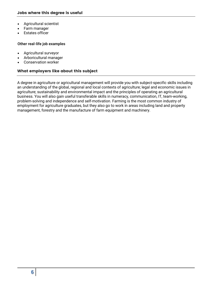- Agricultural scientist
- Farm manager
- Estates officer

#### **Other real-life job examples**

- Agricultural surveyor
- Arboricultural manager
- Conservation worker

#### What employers like about this subject

A degree in agriculture or agricultural management will provide you with subject-specific skills including an understanding of the global, regional and local contexts of agriculture; legal and economic issues in agriculture; sustainability and environmental impact and the principles of operating an agricultural business. You will also gain useful transferable skills in numeracy, communication, IT, team-working, problem-solving and independence and self-motivation. Farming is the most common industry of employment for agriculture graduates, but they also go to work in areas including land and property management, forestry and the manufacture of farm equipment and machinery.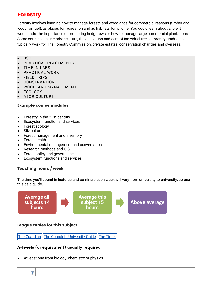## Forestry

Forestry involves learning how to manage forests and woodlands for commercial reasons (timber and wood for fuel), as places for recreation and as habitats for wildlife. You could learn about ancient woodlands, the importance of protecting hedgerows or how to manage large commercial plantations. Some courses include arboriculture, the cultivation and care of individual trees. Forestry graduates typically work for The Forestry Commission, private estates, conservation charities and overseas.

- **BSC**
- PRACTICAL PLACEMENTS
- TIME IN LABS
- PRACTICAL WORK
- FIELD TRIPS
- CONSERVATION
- WOODLAND MANAGEMENT
- ECOLOGY
- ABORICULTURE

#### Example course modules

- Forestry in the 21st century
- Ecosystem function and services
- Forest ecology
- **Silviculture**
- Forest management and inventory
- Forest health
- Environmental management and conversation
- Research methods and GIS
- Forest policy and governance
- Ecosystem functions and services

#### Teaching hours / week

The time you'll spend in lectures and seminars each week will vary from university to university, so use this as a guide.



#### League tables for this subject

The [Guardian](https://www.theguardian.com/education/ng-interactive/2017/may/16/university-league-tables-2018) The Complete [University](http://www.thecompleteuniversityguide.co.uk/league-tables/rankings?s=Architecture) Guide The [Times](https://www.thetimes.co.uk/article/top-by-subject-mgbnm672r)

### A-levels (or equivalent) usually required

At least one from biology, chemistry or physics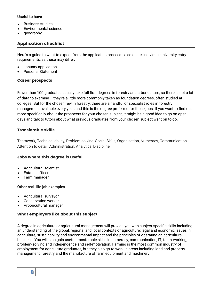#### **Useful to have**

- Business studies
- Environmental science
- geography

#### Application checklist

Here's a guide to what to expect from the application process - also check individual university entry requirements, as these may differ.

- January application
- Personal Statement

#### Career prospects

Fewer than 100 graduates usually take full first degrees in forestry and arboriculture, so there is not a lot of data to examine – they're a little more commonly taken as foundation degrees, often studied at colleges. But for the chosen few in forestry, there are a handful of specialist roles in forestry management available every year, and this is the degree preferred for those jobs. If you want to find out more specifically about the prospects for your chosen subject, it might be a good idea to go on open days and talk to tutors about what previous graduates from your chosen subject went on to do.

#### Transferable skills

Teamwork, Technical ability, Problem solving, Social Skills, Organisation, Numeracy, Communication, Attention to detail, Administration, Analytics, Discipline

#### Jobs where this degree is useful

- Agricultural scientist
- Estates officer
- Farm manager

#### **Other real-life job examples**

- Agricultural surveyor
- Conservation worker
- Arboricultural manager

#### What employers like about this subject

A degree in agriculture or agricultural management will provide you with subject-specific skills including an understanding of the global, regional and local contexts of agriculture; legal and economic issues in agriculture, sustainability and environmental impact and the principles of operating an agricultural business. You will also gain useful transferable skills in numeracy, communication, IT, team-working, problem-solving and independence and self-motivation. Farming is the most common industry of employment for agriculture graduates, but they also go to work in areas including land and property management, forestry and the manufacture of farm equipment and machinery.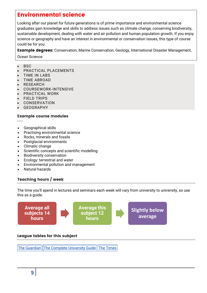# Environmental science

Looking after our planet for future generations is of prime importance and environmental science graduates gain knowledge and skills to address issues such as climate change, conserving biodiversity, sustainable development, dealing with water and air pollution and human population growth. If you enjoy science or geography and have an interest in environmental or conservation issues, this type of course could be for you.

**Example degrees:** Conservation, Marine Conservation, Geology, International Disaster Management,

Ocean Science

- BSC
- PRACTICAL PLACEMENTS
- TIME IN LABS
- TIME ABROAD
- RESEARCH
- COURSEWORK-INTENSIVE
- PRACTICAL WORK
- FIELD TRIPS
- CONSERVATION
- GEOGRAPHY

#### Example course modules

- Geographical skills
- Practising environmental science
- Rocks, minerals and fossils
- Postglacial environments
- Climatic change
- Scientific concepts and scientific modelling
- Biodiversity conservation
- Ecology: terrestrial and water
- Environmental pollution and management
- Natural hazards

#### Teaching hours / week

The time you'll spend in lectures and seminars each week will vary from university to university, so use this as a guide.



The [Guardian](https://www.theguardian.com/education/ng-interactive/2017/may/16/university-league-tables-2018) The Complete [University](http://www.thecompleteuniversityguide.co.uk/league-tables/rankings?s=Architecture) Guide The [Times](https://www.thetimes.co.uk/article/top-by-subject-mgbnm672r)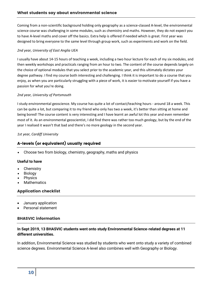Coming from a non-scientific background holding only geography as a science-classed A-level, the environmental science course was challenging in some modules, such as chemistry and maths. However, they do not expect you to have A-level maths and cover off the basics. Extra help is offered if needed which is great. First year was designed to bring everyone to the same level through group work, such as experiments and work on the field.

#### *2nd year, University of East Anglia UEA*

I usually have about 14-15 hours of teaching a week, including a two hour lecture for each of my six modules, and then weekly workshops and practicals ranging from an hour to two. The content of the course depends largely on the choice of optional modules that you select prior to the academic year, and this ultimately dictates your degree pathway. I find my course both interesting and challenging. I think it is important to do a course that you enjoy, as when you are particularly struggling with a piece of work, it is easier to motivate yourself if you have a passion for what you're doing.

#### *2nd year, University of Portsmouth*

I study environmental geoscience. My course has quite a lot of contact/teaching hours - around 18 a week. This can be quite a lot, but comparing it to my friend who only has two a week, it's better than sitting at home and being bored! The course content is very interesting and I have learnt an awful lot this year and even remember most of it. As an environmental geoscientist, I did find there was rather too much geology, but by the end of the year I realised it wasn't that bad and there's no more geology in the second year.

*1st year, Cardiff University*

#### A-levels (or equivalent) usually required

Choose two from biology, chemistry, geography, maths and physics

#### **Useful to have**

- **Chemistry**
- Biology
- Physics
- **Mathematics**

#### Application checklist

- January application
- Personal statement

#### BHASVIC information

#### **In Sept 2019, 13 BHASVIC students went onto study Environmental Science-related degrees at 11 different universities.**

In addition, Environmental Science was studied by students who went onto study a variety of combined science degrees. Environmental Science A-level also combines well with Geography or Biology.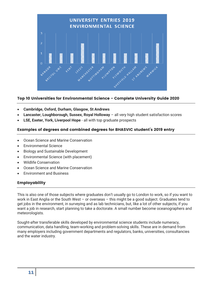

#### Top 10 Universities for Environmental Science - Complete University Guide 2020

- **Cambridge, Oxford, Durham, Glasgow, St Andrews**
- **Lancaster, Loughborough, Sussex, Royal Holloway**  all very high student satisfaction scores
- **LSE, Exeter, York, Liverpool Hope**  all with top graduate prospects

#### Examples of degrees and combined degrees for BHASVIC student's 2019 entry

- Ocean Science and Marine Conservation
- Environmental Science
- Biology and Sustainable Development
- Environmental Science (with placement)
- Wildlife Conservation
- Ocean Science and Marine Conservation
- Environment and Business

#### Employability

This is also one of those subjects where graduates don't usually go to London to work, so if you want to work in East Anglia or the South West – or overseas – this might be a good subject. Graduates tend to get jobs in the environment, in surveying and as lab technicians, but, like a lot of other subjects, if you want a job in research, start planning to take a doctorate. A small number become oceanographers and meteorologists.

Sought-after transferable skills developed by environmental science students include numeracy, communication, data handling, team-working and problem-solving skills. These are in demand from many employers including government departments and regulators, banks, universities, consultancies and the water industry.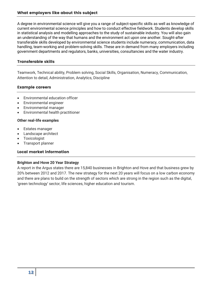A degree in environmental science will give you a range of subject-specific skills as well as knowledge of current environmental science principles and how to conduct effective fieldwork. Students develop skills in statistical analysis and modelling approaches to the study of sustainable industry. You will also gain an understanding of the way that humans and the environment act upon one another. Sought-after transferable skills developed by environmental science students include numeracy, communication, data handling, team-working and problem-solving skills. These are in demand from many employers including government departments and regulators, banks, universities, consultancies and the water industry.

#### Transferable skills

Teamwork, Technical ability, Problem solving, Social Skills, Organisation, Numeracy, Communication, Attention to detail, Administration, Analytics, Discipline

#### Example careers

- Environmental education officer
- Environmental engineer
- Environmental manager
- Environmental health practitioner

#### **Other real-life examples**

- Estates manager
- Landscape architect
- **Toxicologist**
- Transport planner

#### Local market information

#### **Brighton and Hove 20 Year Strategy**

A report in the Argus states there are 15,840 businesses in Brighton and Hove and that business grew by 20% between 2012 and 2017. The new strategy for the next 20 years will focus on a low carbon economy and there are plans to build on the strength of sectors which are strong in the region such as the digital, 'green technology' sector, life sciences, higher education and tourism.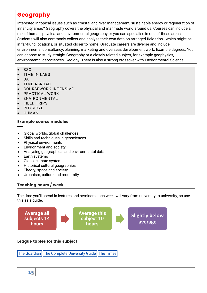# Geography

Interested in topical issues such as coastal and river management, sustainable energy or regeneration of inner city areas? Geography covers the physical and manmade world around us. Courses can include a mix of human, physical and environmental geography or you can specialise in one of these areas. Students will also commonly collect and analyse their own data on arranged field trips - which might be in far-flung locations, or situated closer to home. Graduate careers are diverse and include environmental consultancy, planning, marketing and overseas development work. Example degrees: You can choose to study straight Geography or a closely related subject, for example geophysics, environmental geosciences, Geology. There is also a strong crossover with Environmental Science.

- BSC
- TIME IN LABS
- **BA**
- TIME ABROAD
- COURSEWORK-INTENSIVE
- PRACTICAL WORK
- ENVIRONMENTAL
- FIELD TRIPS
- PHYSICAL
- HUMAN

#### Example course modules

- Global worlds, global challenges
- Skills and techniques in geosciences
- Physical environments
- Environment and society
- Analysing geographical and environmental data
- Earth systems
- Global climate systems
- Historical cultural geographies
- Theory, space and society
- Urbanism, culture and modernity

#### Teaching hours / week

The time you'll spend in lectures and seminars each week will vary from university to university, so use this as a guide.



#### League tables for this subject

The [Guardian](https://www.theguardian.com/education/ng-interactive/2017/may/16/university-league-tables-2018) The Complete [University](http://www.thecompleteuniversityguide.co.uk/league-tables/rankings?s=Architecture) Guide The [Times](https://www.thetimes.co.uk/article/top-by-subject-mgbnm672r)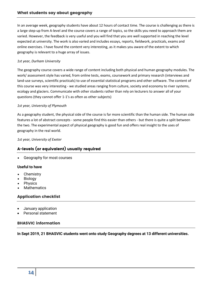In an average week, geography students have about 12 hours of contact time. The course is challenging as there is a large step-up from A-level and the course covers a range of topics, so the skills you need to approach them are varied. However, the feedback is very useful and you will find that you are well supported in reaching the level expected at university. The work is also varied and includes essays, reports, fieldwork, practicals, exams and online exercises. I have found the content very interesting, as it makes you aware of the extent to which geography is relevant to a huge array of issues.

#### *1st year, Durham University*

The geography course covers a wide range of content including both physical and human geography modules. The work/ assessment style has varied, from online tests, exams, coursework and primary research (interviews and land-use surveys, scientific practicals) to use of essential statistical programs and other software. The content of this course was very interesting - we studied areas ranging from culture, society and economy to river systems, ecology and glaciers. Communicate with other students rather than rely on lecturers to answer all of your questions (they cannot offer 1-1's as often as other subjects)

#### *1st year, University of Plymouth*

As a geography student, the physical side of the course is far more scientific than the human side. The human side features a lot of abstract concepts - some people find this easier than others - but there is quite a split between the two. The experimental aspect of physical geography is good fun and offers real insight to the uses of geography in the real world.

*1st year, University of Exeter*

#### A-levels (or equivalent) usually required

Geography for most courses

#### **Useful to have**

- **Chemistry**
- Biology
- Physics
- **Mathematics**

#### Application checklist

- January application
- Personal statement

#### BHASVIC information

**In Sept 2019, 21 BHASVIC students went onto study Geography degrees at 13 different universities.**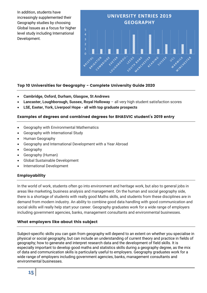In addition, students have increasingly supplemented their Geography studies by choosing Global Issues as a focus for higher level study including International Development.



#### Top 10 Universities for Geography - Complete University Guide 2020

- **Cambridge, Oxford, Durham, Glasgow, St Andrews**
- **Lancaster, Loughborough, Sussex, Royal Holloway**  all very high student satisfaction scores
- **LSE, Exeter, York, Liverpool Hope - all with top graduate prospects**

#### Examples of degrees and combined degrees for BHASVIC student's 2019 entry

- Geography with Environmental Mathematics
- Geography with International Study
- Human Geography
- Geography and International Development with a Year Abroad
- Geography
- Geography (Human)
- Global Sustainable Development
- International Development

#### Employability

In the world of work, students often go into environment and heritage work, but also to general jobs in areas like marketing, business analysis and management. On the human and social geography side, there is a shortage of students with really good Maths skills, and students from these disciplines are in demand from modern industry. An ability to combine good data handling with good communication and social skills will really help start your career. Geography graduates work for a wide range of employers including government agencies, banks, management consultants and environmental businesses.

#### What employers like about this subject

Subject-specific skills you can gain from geography will depend to an extent on whether you specialise in physical or social geography, but can include an understanding of current theory and practice in fields of geography; how to generate and interpret research data and the development of field skills. It is especially important to develop good maths and statistics skills during a geography degree, as the mix of data and communication skills is particularly useful to employers. Geography graduates work for a wide range of employers including government agencies, banks, management consultants and environmental businesses.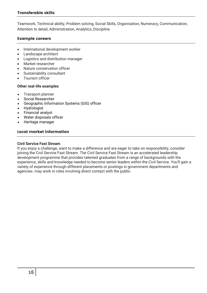Teamwork, Technical ability, Problem solving, Social Skills, Organisation, Numeracy, Communication, Attention to detail, Administration, Analytics, Discipline

#### Example careers

- International development worker
- Landscape architect
- Logistics and distribution manager
- Market researcher
- Nature conservation officer
- Sustainability consultant
- Tourism officer

#### **Other real-life examples**

- Transport planner
- Social Researcher
- Geographic Information Systems (GIS) officer
- Hydrologist
- Financial analyst
- Water disposals officer
- Heritage manager

#### Local market information

#### **Civil Service Fast Stream**

If you enjoy a challenge, want to make a difference and are eager to take on responsibility, consider joining the Civil Service Fast Stream. The Civil Service Fast Stream is an accelerated leadership development programme that provides talented graduates from a range of backgrounds with the experience, skills and knowledge needed to become senior leaders within the Civil Service. You'll gain a variety of experience through different placements or postings in government departments and agencies. may work in roles involving direct contact with the public.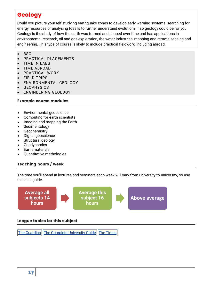# **Geology**

Could you picture yourself studying earthquake zones to develop early warning systems, searching for energy resources or analysing fossils to further understand evolution? If so geology could be for you. Geology is the study of how the earth was formed and shaped over time and has applications in environmental research, oil and gas exploration, the water industries, mapping and remote sensing and engineering. This type of course is likely to include practical fieldwork, including abroad.

- **BSC**
- PRACTICAL PLACEMENTS
- TIME IN LABS
- TIME ABROAD
- PRACTICAL WORK
- FIELD TRIPS
- ENVIRONMENTAL GEOLOGY
- **GEOPHYSICS**
- ENGINEERING GEOLOGY

#### Example course modules

- Environmental geoscience
- Computing for earth scientists
- Imaging and mapping the Earth
- Sedimentology
- Geochemistry
- Digital geoscience
- Structural geology
- Geodynamics
- Earth materials
- Quantitative methologies

#### Teaching hours / week

The time you'll spend in lectures and seminars each week will vary from university to university, so use this as a guide.



#### League tables for this subject

The [Guardian](https://www.theguardian.com/education/ng-interactive/2017/may/16/university-league-tables-2018) | The Complete [University](http://www.thecompleteuniversityguide.co.uk/league-tables/rankings?s=Architecture) Guide | The [Times](https://www.thetimes.co.uk/article/top-by-subject-mgbnm672r)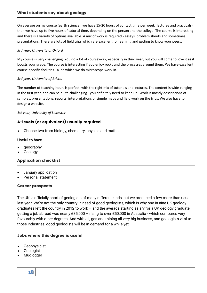On average on my course (earth science), we have 15-20 hours of contact time per week (lectures and practicals), then we have up to five hours of tutorial time, depending on the person and the college. The course is interesting and there is a variety of options available. A mix of work is required - essays, problem sheets and sometimes presentations. There are lots of field trips which are excellent for learning and getting to know your peers.

#### *3rd year, University of Oxford*

My course is very challenging. You do a lot of coursework, especially in third year, but you will come to love it as it boosts your grade. The course is interesting if you enjoy rocks and the processes around them. We have excellent course-specific facilities - a lab which we do microscope work in.

#### *3rd year, University of Bristol*

The number of teaching hours is perfect, with the right mix of tutorials and lectures. The content is wide-ranging in the first year, and can be quite challenging - you definitely need to keep up! Work is mostly descriptions of samples, presentations, reports, interpretations of simple maps and field work on the trips. We also have to design a website.

#### *1st year, University of Leicester*

#### A-levels (or equivalent) usually required

Choose two from biology, chemistry, physics and maths

#### **Useful to have**

- geography
- Geology

#### Application checklist

- January application
- Personal statement

#### Career prospects

The UK is officially short of geologists of many different kinds, but we produced a few more than usual last year. We're not the only country in need of good geologists, which is why one in nine UK geology graduates left the country in 2012 to work – and the average starting salary for a UK geology graduate getting a job abroad was nearly £35,000 – rising to over £50,000 in Australia - which compares very favourably with other degrees. And with oil, gas and mining all very big business, and geologists vital to those industries, good geologists will be in demand for a while yet.

#### Jobs where this degree is useful

- Geophysicist
- Geologist
- Mudlogger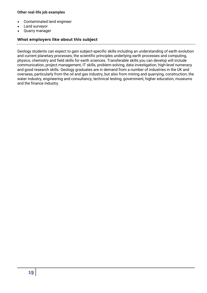#### **Other real-life job examples**

- Contaminated land engineer
- Land surveyor
- Quarry manager

#### What employers like about this subject

Geology students can expect to gain subject-specific skills including an understanding of earth evolution and current planetary processes; the scientific principles underlying earth processes and computing, physics, chemistry and field skills for earth sciences. Transferable skills you can develop will include communication, project management, IT skills, problem-solving, data investigation, high-level numeracy and good research skills. Geology graduates are in demand from a number of industries in the UK and overseas, particularly from the oil and gas industry, but also from mining and quarrying, construction, the water industry, engineering and consultancy, technical testing, government, higher education, museums and the finance industry.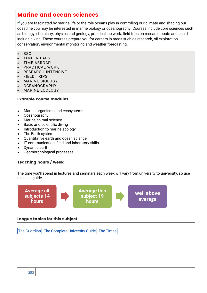## Marine and ocean sciences

If you are fascinated by marine life or the role oceans play in controlling our climate and shaping our coastline you may be interested in marine biology or oceanography. Courses include core sciences such as biology, chemistry, physics and geology, practical lab work, field trips on research boats and could include diving. These courses prepare you for careers in areas such as research, oil exploration, conservation, environmental monitoring and weather forecasting.

- $-BSC$
- TIME IN LABS
- TIME ABROAD
- PRACTICAL WORK
- RESEARCH-INTENSIVE
- FIELD TRIPS
- MARINE BIOLOGY
- OCEANOGRAPHY
- MARINE ECOLOGY

#### Example course modules

- Marine organisms and ecosystems
- Oceanography
- Marine animal science
- Basic and scientific diving
- Introduction to marine ecology
- The Earth system
- Quantitative earth and ocean science
- IT communication, field and laboratory skills
- Dynamic earth
- Geomorphological processes

#### Teaching hours / week

The time you'll spend in lectures and seminars each week will vary from university to university, so use this as a guide.



#### League tables for this subject

The [Guardian](https://www.theguardian.com/education/ng-interactive/2017/may/16/university-league-tables-2018) The Complete [University](http://www.thecompleteuniversityguide.co.uk/league-tables/rankings?s=Architecture) Guide The [Times](https://www.thetimes.co.uk/article/top-by-subject-mgbnm672r)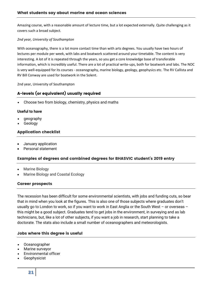Amazing course, with a reasonable amount of lecture time, but a lot expected externally. Quite challenging as it covers such a broad subject.

#### *2nd year, University of Southampton*

With oceanography, there is a lot more contact time than with arts degrees. You usually have two hours of lectures per module per week, with labs and boatwork scattered around your timetable. The content is very interesting. A lot of it is repeated through the years, so you get a core knowledge base of transferable information, which is incredibly useful. There are a lot of practical write-ups, both for boatwork and labs. The NOC is very well-equipped for its courses - oceanography, marine biology, geology, geophysics etc. The RV Callista and RV Bill Conway are used for boatwork in the Solent.

2nd year, University of Southampton

#### A-levels (or equivalent) usually required

Choose two from biology, chemistry, physics and maths

#### **Useful to have**

- geography
- Geology

#### Application checklist

- January application
- Personal statement

#### Examples of degrees and combined degrees for BHASVIC student's 2019 entry

- Marine Biology
- Marine Biology and Coastal Ecology

#### Career prospects

The recession has been difficult for some environmental scientists, with jobs and funding cuts, so bear that in mind when you look at the figures. This is also one of those subjects where graduates don't usually go to London to work, so if you want to work in East Anglia or the South West – or overseas – this might be a good subject. Graduates tend to get jobs in the environment, in surveying and as lab technicians, but, like a lot of other subjects, if you want a job in research, start planning to take a doctorate. The stats also include a small number of oceanographers and meteorologists.

#### Jobs where this degree is useful

- Oceanographer
- Marine surveyor
- Environmental officer
- Geophysicist